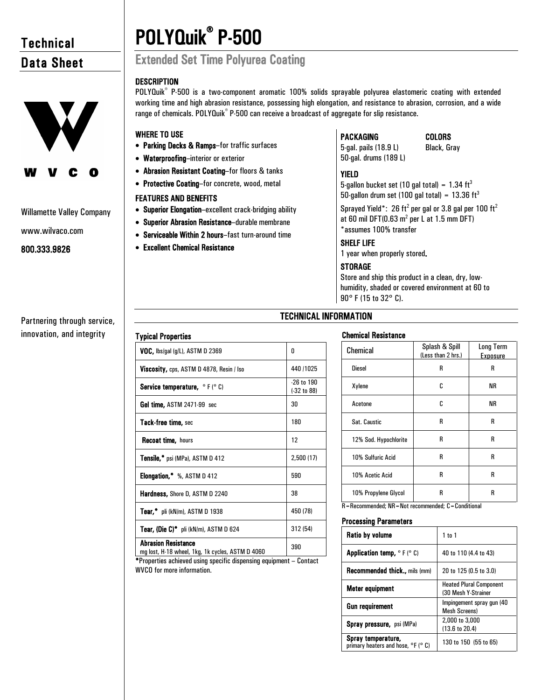# **Technical** Data Sheet



# Willamette Valley Company

www.wilvaco.com

# 800.333.9826

Partnering through service, innovation, and integrity

# POLYQuik<sup>®</sup> P-500

# **Extended Set Time Polyurea Coating**

# **DESCRIPTION**

POLYQuik<sup>®</sup> P-500 is a two-component aromatic 100% solids sprayable polyurea elastomeric coating with extended working time and high abrasion resistance, possessing high elongation, and resistance to abrasion, corrosion, and a wide range of chemicals. POLYQuik® P-500 can receive a broadcast of aggregate for slip resistance.

# WHERE TO USE

- Parking Decks & Ramps–for traffic surfaces
- Waterproofing–interior or exterior
- Abrasion Resistant Coating–for floors & tanks
- Protective Coating–for concrete, wood, metal

# FEATURES AND BENEFITS

Typical Properties

- Superior Elongation–excellent crack-bridging ability
- Superior Abrasion Resistance–durable membrane
- Serviceable Within 2 hours–fast turn-around time

 $VOC$ , lbs/gal (g/L), ASTM D 2369  $\qquad \qquad \qquad$  0

Gel time,  $ASTM 2471-99$  sec  $30$ 

**Viscosity, cps, ASTM D 4878, Resin / Iso 440 /1025** Service temperature,  $^{\circ}$  F ( $^{\circ}$  C)  $^{26}$  to 190

• Excellent Chemical Resistance

# PACKAGING

# COLORS

Black, Gray

5-gal. pails (18.9 L) 50-gal. drums (189 L)

## YIELD

5-gallon bucket set (10 gal total) =  $1.34 \text{ ft}^3$ 50-gallon drum set (100 gal total) =  $13.36 \text{ ft}^3$ 

Sprayed Yield\*: 26 ft<sup>2</sup> per gal or 3.8 gal per 100 ft<sup>2</sup> at 60 mil DFT(0.63  $m^2$  per L at 1.5 mm DFT) \*assumes 100% transfer

# SHELF LIFE

1 year when properly stored.

# **STORAGE**

Store and ship this product in a clean, dry, lowhumidity, shaded or covered environment at 60 to 90° F (15 to 32° C).

# TECHNICAL INFORMATION

(-32 to 88)

# Chemical Resistance

| Chemical              | Splash & Spill<br>(Less than 2 hrs.) | <b>Long Term</b><br><b>Exposure</b> |
|-----------------------|--------------------------------------|-------------------------------------|
| <b>Diesel</b>         | R                                    | R                                   |
| Xylene                | C                                    | ΝR                                  |
| Acetone               | C                                    | ΝR                                  |
| Sat. Caustic          | R                                    | R                                   |
| 12% Sod. Hypochlorite | R                                    | R                                   |
| 10% Sulfuric Acid     | R                                    | R                                   |
| 10% Acetic Acid       | R                                    | R                                   |
| 10% Propylene Glycol  | R                                    | R                                   |

R=Recommended; NR=Not recommended; C=Conditional

# Processing Parameters

| <b>Ratio by volume</b>                                               | $1$ to $1$                                            |  |
|----------------------------------------------------------------------|-------------------------------------------------------|--|
| <b>Application temp, <math>\circ</math> F (<math>\circ</math> C)</b> | 40 to 110 (4.4 to 43)                                 |  |
| <b>Recommended thick</b> mils (mm)                                   | 20 to 125 (0.5 to 3.0)                                |  |
| Meter equipment                                                      | <b>Heated Plural Component</b><br>(30 Mesh Y-Strainer |  |
| <b>Gun requirement</b>                                               | Impingement spray gun (40<br><b>Mesh Screens)</b>     |  |
| <b>Spray pressure, psi (MPa)</b>                                     | 2,000 to 3,000<br>(13.6 to 20.4)                      |  |
| Spray temperature,<br>primary heaters and hose, °F (° C)             | 130 to 150 (55 to 65)                                 |  |

| Tack-free time, sec                          | 180       |
|----------------------------------------------|-----------|
| <b>Recoat time, hours</b>                    | 12        |
| <b>Tensile,*</b> psi (MPa), ASTM D 412       | 2,500(17) |
| Elongation,* %, ASTM D 412                   | 590       |
| <b>Hardness, Shore D, ASTM D 2240</b>        | 38        |
| <b>Tear,*</b> pli (kN/m), ASTM D 1938        | 450 (78)  |
| <b>Tear, (Die C)*</b> pli (kN/m), ASTM D 624 | 312 (54)  |
| <b>Abrasion Resistance</b><br>$\overline{a}$ | 390       |

mg lost, H-18 wheel, 1kg, 1k cycles, ASTM D 4060 \*Properties achieved using specific dispensing equipment – Contact WVCO for more information.